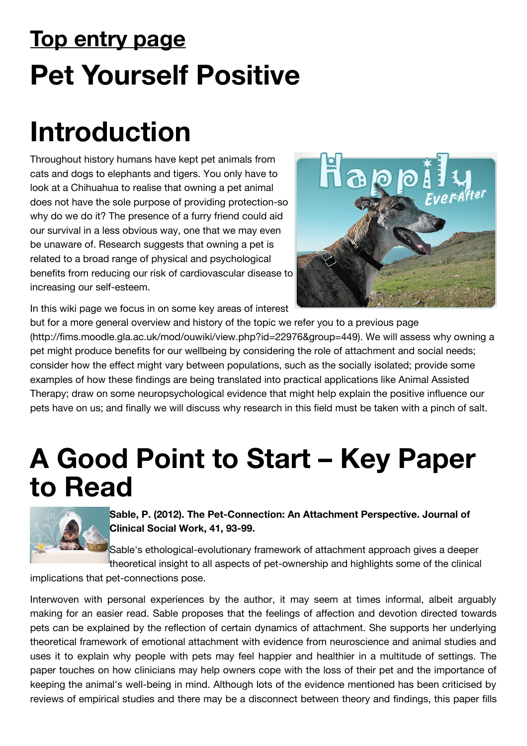# **Top entry page Pet Yourself Positive**

# **Introduction**

Throughout history humans have kept pet animals from cats and dogs to elephants and tigers. You only have to look at a Chihuahua to realise that owning a pet animal does not have the sole purpose of providing protection-so why do we do it? The presence of a furry friend could aid our survival in a less obvious way, one that we may even be unaware of. Research suggests that owning a pet is related to a broad range of physical and psychological benefits from reducing our risk of cardiovascular disease to increasing our self-esteem.



In this wiki page we focus in on some key areas of interest

but for a more general overview and history of the topic we refer you to a previous page [\(http://fims.moodle.gla.ac.uk/mod/ouwiki/view.php?id=22976&group=449\). We will asse](http://fims.moodle.gla.ac.uk/mod/ouwiki/view.php?id=22976&group=449)ss why owning a pet might produce benefits for our wellbeing by considering the role of attachment and social needs; consider how the effect might vary between populations, such as the socially isolated; provide some examples of how these findings are being translated into practical applications like Animal Assisted Therapy; draw on some neuropsychological evidence that might help explain the positive influence our pets have on us; and finally we will discuss why research in this field must be taken with a pinch of salt.

## **A Good Point to Start – Key Paper to Read**



**Sable, P. (2012). The Pet-Connection: An Attachment Perspective. Journal of Clinical Social Work, 41, 93-99.**

Sable's ethological-evolutionary framework of attachment approach gives a deeper theoretical insight to all aspects of pet-ownership and highlights some of the clinical

implications that pet-connections pose.

Interwoven with personal experiences by the author, it may seem at times informal, albeit arguably making for an easier read. Sable proposes that the feelings of affection and devotion directed towards pets can be explained by the reflection of certain dynamics of attachment. She supports her underlying theoretical framework of emotional attachment with evidence from neuroscience and animal studies and uses it to explain why people with pets may feel happier and healthier in a multitude of settings. The paper touches on how clinicians may help owners cope with the loss of their pet and the importance of keeping the animal's well-being in mind. Although lots of the evidence mentioned has been criticised by reviews of empirical studies and there may be a disconnect between theory and findings, this paper fills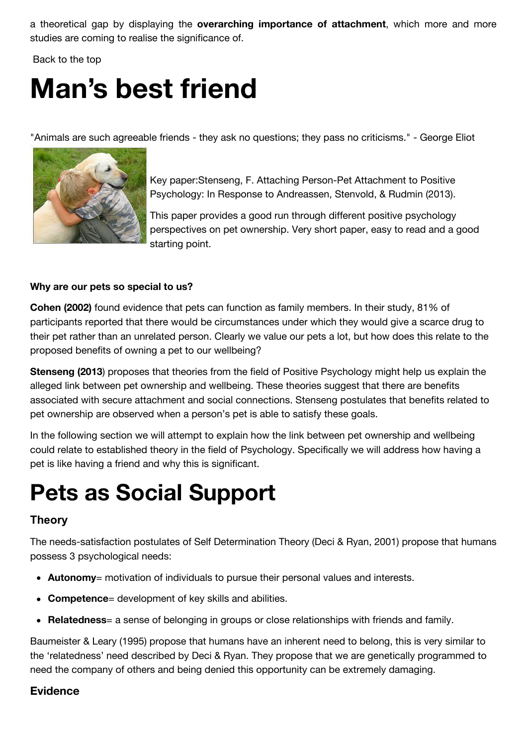a theoretical gap by displaying the **overarching importance of attachment**, which more and more studies are coming to realise the significance of.

 [Back to the top](http://moodle2.gla.ac.uk/mod/wiki/view.php?pageid=1902#toc-1)

# **Man's best friend**

"Animals are such agreeable friends - they ask no questions; they pass no criticisms." - George Eliot



Key paper:Stenseng, F. Attaching Person-Pet Attachment to Positive Psychology: In Response to Andreassen, Stenvold, & Rudmin (2013).

This paper provides a good run through different positive psychology perspectives on pet ownership. Very short paper, easy to read and a good starting point.

### **Why are our pets so special to us?**

**Cohen (2002)** found evidence that pets can function as family members. In their study, 81% of participants reported that there would be circumstances under which they would give a scarce drug to their pet rather than an unrelated person. Clearly we value our pets a lot, but how does this relate to the proposed benefits of owning a pet to our wellbeing?

**Stenseng (2013**) proposes that theories from the field of Positive Psychology might help us explain the alleged link between pet ownership and wellbeing. These theories suggest that there are benefits associated with secure attachment and social connections. Stenseng postulates that benefits related to pet ownership are observed when a person's pet is able to satisfy these goals.

In the following section we will attempt to explain how the link between pet ownership and wellbeing could relate to established theory in the field of Psychology. Specifically we will address how having a pet is like having a friend and why this is significant.

### **Pets as Social Support**

### **Theory**

The needs-satisfaction postulates of Self Determination Theory (Deci & Ryan, 2001) propose that humans possess 3 psychological needs:

- **Autonomy**= motivation of individuals to pursue their personal values and interests.
- **Competence**= development of key skills and abilities.
- **Relatedness**= a sense of belonging in groups or close relationships with friends and family.

Baumeister & Leary (1995) propose that humans have an inherent need to belong, this is very similar to the 'relatedness' need described by Deci & Ryan. They propose that we are genetically programmed to need the company of others and being denied this opportunity can be extremely damaging.

### **Evidence**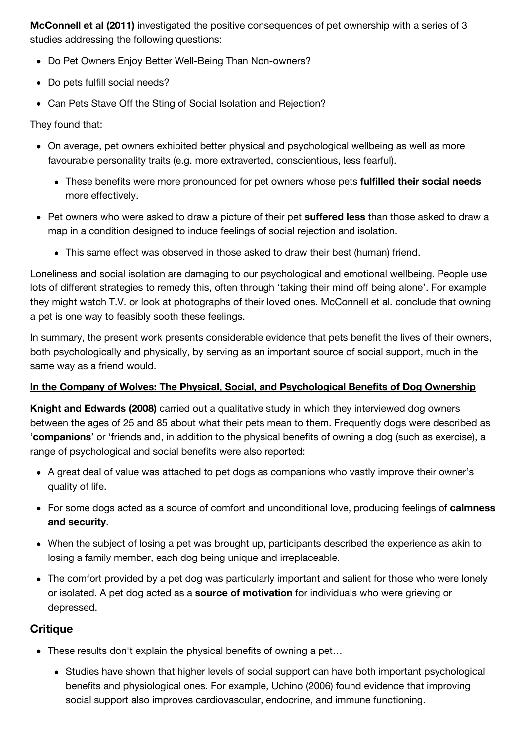**McConnell et al (2011)** investigated the positive consequences of pet ownership with a series of 3 studies addressing the following questions:

- Do Pet Owners Enjoy Better Well-Being Than Non-owners?
- Do pets fulfill social needs?
- Can Pets Stave Off the Sting of Social Isolation and Rejection?

They found that:

- On average, pet owners exhibited better physical and psychological wellbeing as well as more favourable personality traits (e.g. more extraverted, conscientious, less fearful).
	- These benefits were more pronounced for pet owners whose pets **fulfilled their social needs** more effectively.
- Pet owners who were asked to draw a picture of their pet **suffered less** than those asked to draw a map in a condition designed to induce feelings of social rejection and isolation.
	- This same effect was observed in those asked to draw their best (human) friend.

Loneliness and social isolation are damaging to our psychological and emotional wellbeing. People use lots of different strategies to remedy this, often through 'taking their mind off being alone'. For example they might watch T.V. or look at photographs of their loved ones. McConnell et al. conclude that owning a pet is one way to feasibly sooth these feelings.

In summary, the present work presents considerable evidence that pets benefit the lives of their owners, both psychologically and physically, by serving as an important source of social support, much in the same way as a friend would.

### **In the Company of Wolves: The Physical, Social, and Psychological Benefits of Dog Ownership**

**Knight and Edwards (2008)** carried out a qualitative study in which they interviewed dog owners between the ages of 25 and 85 about what their pets mean to them. Frequently dogs were described as '**companions**' or 'friends and, in addition to the physical benefits of owning a dog (such as exercise), a range of psychological and social benefits were also reported:

- A great deal of value was attached to pet dogs as companions who vastly improve their owner's quality of life.
- For some dogs acted as a source of comfort and unconditional love, producing feelings of **calmness and security**.
- When the subject of losing a pet was brought up, participants described the experience as akin to losing a family member, each dog being unique and irreplaceable.
- The comfort provided by a pet dog was particularly important and salient for those who were lonely or isolated. A pet dog acted as a **source of motivation** for individuals who were grieving or depressed.

### **Critique**

- These results don't explain the physical benefits of owning a pet…
	- Studies have shown that higher levels of social support can have both important psychological benefits and physiological ones. For example, Uchino (2006) found evidence that improving social support also improves cardiovascular, endocrine, and immune functioning.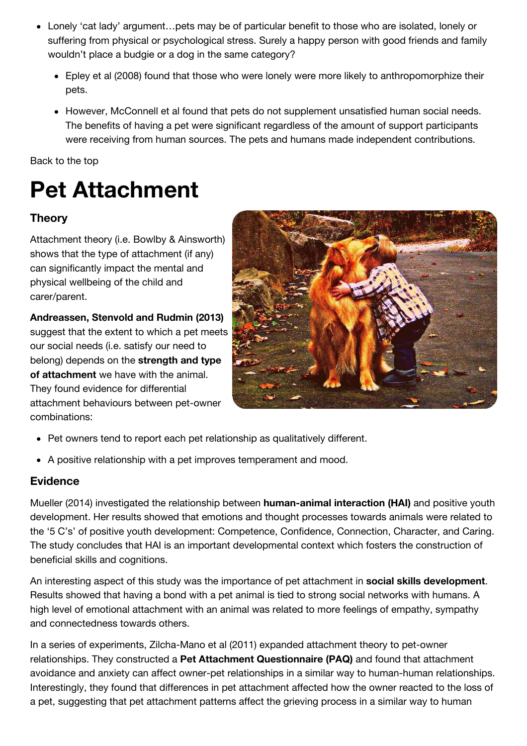- Lonely 'cat lady' argument…pets may be of particular benefit to those who are isolated, lonely or suffering from physical or psychological stress. Surely a happy person with good friends and family wouldn't place a budgie or a dog in the same category?
	- Epley et al (2008) found that those who were lonely were more likely to anthropomorphize their pets.
	- However, McConnell et al found that pets do not supplement unsatisfied human social needs. The benefits of having a pet were significant regardless of the amount of support participants were receiving from human sources. The pets and humans made independent contributions.

[Back to the top](http://moodle2.gla.ac.uk/mod/wiki/view.php?pageid=1902&group=6568#toc-1)

### **Pet Attachment**

### **Theory**

Attachment theory (i.e. Bowlby & Ainsworth) shows that the type of attachment (if any) can significantly impact the mental and physical wellbeing of the child and carer/parent.

**Andreassen, Stenvold and Rudmin (2013)** suggest that the extent to which a pet meets our social needs (i.e. satisfy our need to belong) depends on the **strength and type of attachment** we have with the animal. They found evidence for differential attachment behaviours between pet-owner combinations:



- Pet owners tend to report each pet relationship as qualitatively different.
- A positive relationship with a pet improves temperament and mood.

### **Evidence**

Mueller (2014) investigated the relationship between **human-animal interaction (HAI)** and positive youth development. Her results showed that emotions and thought processes towards animals were related to the '5 C's' of positive youth development: Competence, Confidence, Connection, Character, and Caring. The study concludes that HAI is an important developmental context which fosters the construction of beneficial skills and cognitions.

An interesting aspect of this study was the importance of pet attachment in **social skills development**. Results showed that having a bond with a pet animal is tied to strong social networks with humans. A high level of emotional attachment with an animal was related to more feelings of empathy, sympathy and connectedness towards others.

In a series of experiments, Zilcha-Mano et al (2011) expanded attachment theory to pet-owner relationships. They constructed a **Pet Attachment Questionnaire (PAQ)** and found that attachment avoidance and anxiety can affect owner-pet relationships in a similar way to human-human relationships. Interestingly, they found that differences in pet attachment affected how the owner reacted to the loss of a pet, suggesting that pet attachment patterns affect the grieving process in a similar way to human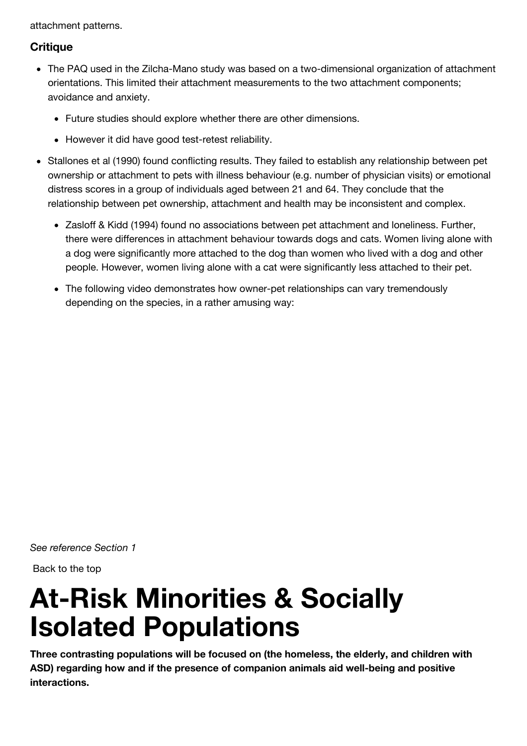attachment patterns.

### **Critique**

- The PAQ used in the Zilcha-Mano study was based on a two-dimensional organization of attachment orientations. This limited their attachment measurements to the two attachment components; avoidance and anxiety.
	- Future studies should explore whether there are other dimensions.
	- However it did have good test-retest reliability.
- Stallones et al (1990) found conflicting results. They failed to establish any relationship between pet ownership or attachment to pets with illness behaviour (e.g. number of physician visits) or emotional distress scores in a group of individuals aged between 21 and 64. They conclude that the relationship between pet ownership, attachment and health may be inconsistent and complex.
	- Zasloff & Kidd (1994) found no associations between pet attachment and loneliness. Further, there were differences in attachment behaviour towards dogs and cats. Women living alone with a dog were significantly more attached to the dog than women who lived with a dog and other people. However, women living alone with a cat were significantly less attached to their pet.
	- The following video demonstrates how owner-pet relationships can vary tremendously depending on the species, in a rather amusing way:

*See reference Section 1*

 [Back to the top](http://moodle2.gla.ac.uk/mod/wiki/view.php?pageid=1902&group=6568#toc-1)

# **At-Risk Minorities & Socially Isolated Populations**

**Three contrasting populations will be focused on (the homeless, the elderly, and children with ASD) regarding how and if the presence of companion animals aid well-being and positive interactions.**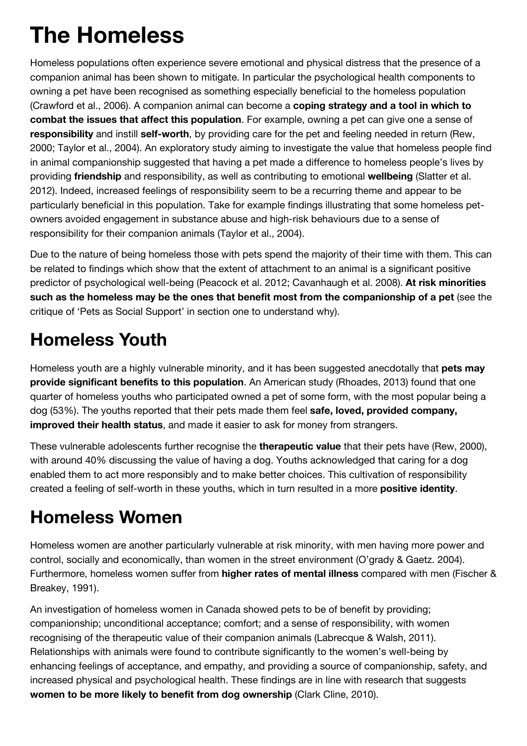### **The Homeless**

Homeless populations often experience severe emotional and physical distress that the presence of a companion animal has been shown to mitigate. In particular the psychological health components to owning a pet have been recognised as something especially beneficial to the homeless population (Crawford et al., 2006). A companion animal can become a **coping strategy and a tool in which to combat the issues that affect this population**. For example, owning a pet can give one a sense of **responsibility** and instill **self-worth**, by providing care for the pet and feeling needed in return (Rew, 2000; Taylor et al., 2004). An exploratory study aiming to investigate the value that homeless people find in animal companionship suggested that having a pet made a difference to homeless people's lives by providing **friendship** and responsibility, as well as contributing to emotional **wellbeing** (Slatter et al. 2012). Indeed, increased feelings of responsibility seem to be a recurring theme and appear to be particularly beneficial in this population. Take for example findings illustrating that some homeless petowners avoided engagement in substance abuse and high-risk behaviours due to a sense of responsibility for their companion animals (Taylor et al., 2004).

Due to the nature of being homeless those with pets spend the majority of their time with them. This can be related to findings which show that the extent of attachment to an animal is a significant positive predictor of psychological well-being (Peacock et al. 2012; Cavanhaugh et al. 2008). **At risk minorities such as the homeless may be the ones that benefit most from the companionship of a pet** (see the critique of 'Pets as Social Support' in section one to understand why).

### **Homeless Youth**

Homeless youth are a highly vulnerable minority, and it has been suggested anecdotally that **pets may provide significant benefits to this population**. An American study (Rhoades, 2013) found that one quarter of homeless youths who participated owned a pet of some form, with the most popular being a dog (53%). The youths reported that their pets made them feel **safe, loved, provided company, improved their health status**, and made it easier to ask for money from strangers.

These vulnerable adolescents further recognise the **therapeutic value** that their pets have (Rew, 2000), with around 40% discussing the value of having a dog. Youths acknowledged that caring for a dog enabled them to act more responsibly and to make better choices. This cultivation of responsibility created a feeling of self-worth in these youths, which in turn resulted in a more **positive identity**.

### **Homeless Women**

Homeless women are another particularly vulnerable at risk minority, with men having more power and control, socially and economically, than women in the street environment (O'grady & Gaetz. 2004). Furthermore, homeless women suffer from **higher rates of mental illness** compared with men (Fischer & Breakey, 1991).

An investigation of homeless women in Canada showed pets to be of benefit by providing; companionship; unconditional acceptance; comfort; and a sense of responsibility, with women recognising of the therapeutic value of their companion animals (Labrecque & Walsh, 2011). Relationships with animals were found to contribute significantly to the women's well-being by enhancing feelings of acceptance, and empathy, and providing a source of companionship, safety, and increased physical and psychological health. These findings are in line with research that suggests **women to be more likely to benefit from dog ownership** (Clark Cline, 2010).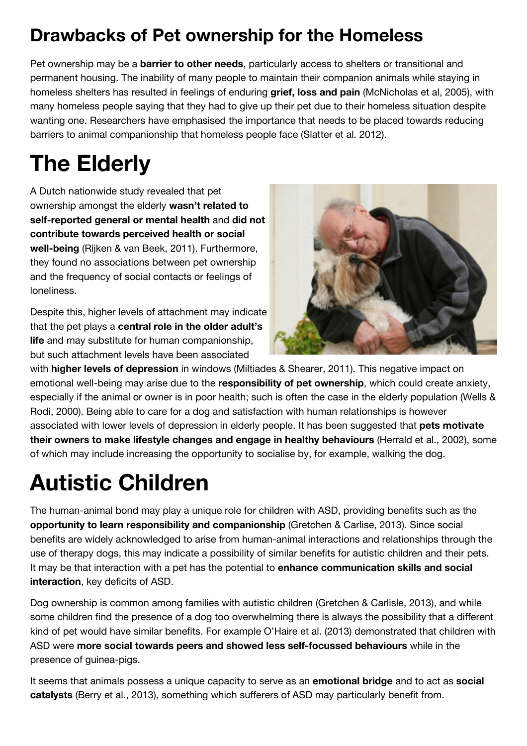### **Drawbacks of Pet ownership for the Homeless**

Pet ownership may be a **barrier to other needs**, particularly access to shelters or transitional and permanent housing. The inability of many people to maintain their companion animals while staying in homeless shelters has resulted in feelings of enduring **grief, loss and pain** (McNicholas et al, 2005), with many homeless people saying that they had to give up their pet due to their homeless situation despite wanting one. Researchers have emphasised the importance that needs to be placed towards reducing barriers to animal companionship that homeless people face (Slatter et al. 2012).

### **The Elderly**

A Dutch nationwide study revealed that pet ownership amongst the elderly **wasn't related to self-reported general or mental health** and **did not contribute towards perceived health or social well-being** (Rijken & van Beek, 2011). Furthermore, they found no associations between pet ownership and the frequency of social contacts or feelings of loneliness.

Despite this, higher levels of attachment may indicate that the pet plays a **central role in the older adult's life** and may substitute for human companionship, but such attachment levels have been associated



with **higher levels of depression** in windows (Miltiades & Shearer, 2011). This negative impact on emotional well-being may arise due to the **responsibility of pet ownership**, which could create anxiety, especially if the animal or owner is in poor health; such is often the case in the elderly population (Wells & Rodi, 2000). Being able to care for a dog and satisfaction with human relationships is however associated with lower levels of depression in elderly people. It has been suggested that **pets motivate their owners to make lifestyle changes and engage in healthy behaviours** (Herrald et al., 2002), some of which may include increasing the opportunity to socialise by, for example, walking the dog.

### **Autistic Children**

The human-animal bond may play a unique role for children with ASD, providing benefits such as the **opportunity to learn responsibility and companionship** (Gretchen & Carlise, 2013). Since social benefits are widely acknowledged to arise from human-animal interactions and relationships through the use of therapy dogs, this may indicate a possibility of similar benefits for autistic children and their pets. It may be that interaction with a pet has the potential to **enhance communication skills and social interaction**, key deficits of ASD.

Dog ownership is common among families with autistic children (Gretchen & Carlisle, 2013), and while some children find the presence of a dog too overwhelming there is always the possibility that a different kind of pet would have similar benefits. For example O'Haire et al. (2013) demonstrated that children with ASD were **more social towards peers and showed less self-focussed behaviours** while in the presence of guinea-pigs.

It seems that animals possess a unique capacity to serve as an **emotional bridge** and to act as **social catalysts** (Berry et al., 2013), something which sufferers of ASD may particularly benefit from.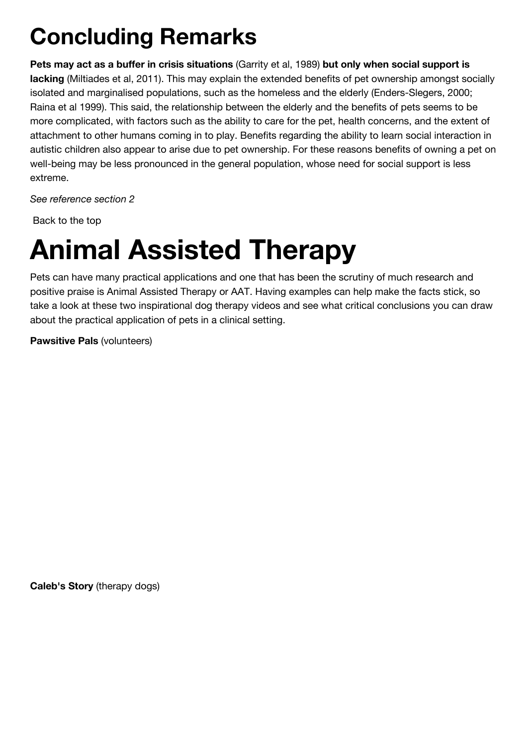### **Concluding Remarks**

**Pets may act as a buffer in crisis situations** (Garrity et al, 1989) **but only when social support is lacking** (Miltiades et al, 2011). This may explain the extended benefits of pet ownership amongst socially isolated and marginalised populations, such as the homeless and the elderly (Enders-Slegers, 2000; Raina et al 1999). This said, the relationship between the elderly and the benefits of pets seems to be more complicated, with factors such as the ability to care for the pet, health concerns, and the extent of attachment to other humans coming in to play. Benefits regarding the ability to learn social interaction in autistic children also appear to arise due to pet ownership. For these reasons benefits of owning a pet on well-being may be less pronounced in the general population, whose need for social support is less extreme.

*See reference section 2*

 [Back to the top](http://moodle2.gla.ac.uk/mod/wiki/view.php?pageid=1902&group=6568#toc-1)

# **Animal Assisted Therapy**

Pets can have many practical applications and one that has been the scrutiny of much research and positive praise is Animal Assisted Therapy or AAT. Having examples can help make the facts stick, so take a look at these two inspirational dog therapy videos and see what critical conclusions you can draw about the practical application of pets in a clinical setting.

**Pawsitive Pals** (volunteers)

**Caleb's Story** (therapy dogs)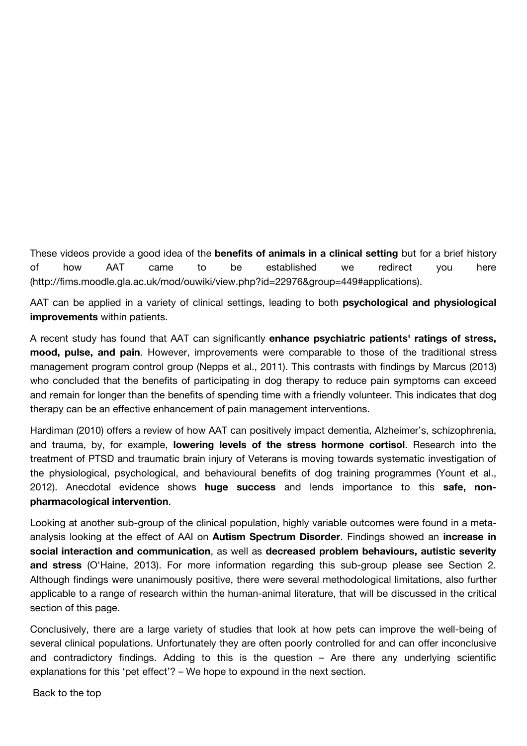These videos provide a good idea of the **benefits of animals in a clinical setting** but for a brief history [of how AAT came to be established we redirect you here](http://fims.moodle.gla.ac.uk/mod/ouwiki/view.php?id=22976&group=449#applications) (http://fims.moodle.gla.ac.uk/mod/ouwiki/view.php?id=22976&group=449#applications).

AAT can be applied in a variety of clinical settings, leading to both **psychological and physiological improvements** within patients.

A recent study has found that AAT can significantly **enhance psychiatric patients' ratings of stress, mood, pulse, and pain**. However, improvements were comparable to those of the traditional stress management program control group (Nepps et al., 2011). This contrasts with findings by Marcus (2013) who concluded that the benefits of participating in dog therapy to reduce pain symptoms can exceed and remain for longer than the benefits of spending time with a friendly volunteer. This indicates that dog therapy can be an effective enhancement of pain management interventions.

Hardiman (2010) offers a review of how AAT can positively impact dementia, Alzheimer's, schizophrenia, and trauma, by, for example, **lowering levels of the stress hormone cortisol**. Research into the treatment of PTSD and traumatic brain injury of Veterans is moving towards systematic investigation of the physiological, psychological, and behavioural benefits of dog training programmes (Yount et al., 2012). Anecdotal evidence shows **huge success** and lends importance to this **safe, nonpharmacological intervention**.

Looking at another sub-group of the clinical population, highly variable outcomes were found in a metaanalysis looking at the effect of AAI on **Autism Spectrum Disorder**. Findings showed an **increase in social interaction and communication**, as well as **decreased problem behaviours, autistic severity and stress** (O'Haine, 2013). For more information regarding this sub-group please see Section 2. Although findings were unanimously positive, there were several methodological limitations, also further applicable to a range of research within the human-animal literature, that will be discussed in the critical section of this page.

Conclusively, there are a large variety of studies that look at how pets can improve the well-being of several clinical populations. Unfortunately they are often poorly controlled for and can offer inconclusive and contradictory findings. Adding to this is the question – Are there any underlying scientific explanations for this 'pet effect'? – We hope to expound in the next section.

 [Back to the top](http://moodle2.gla.ac.uk/mod/wiki/view.php?pageid=1902&group=6568#toc-1)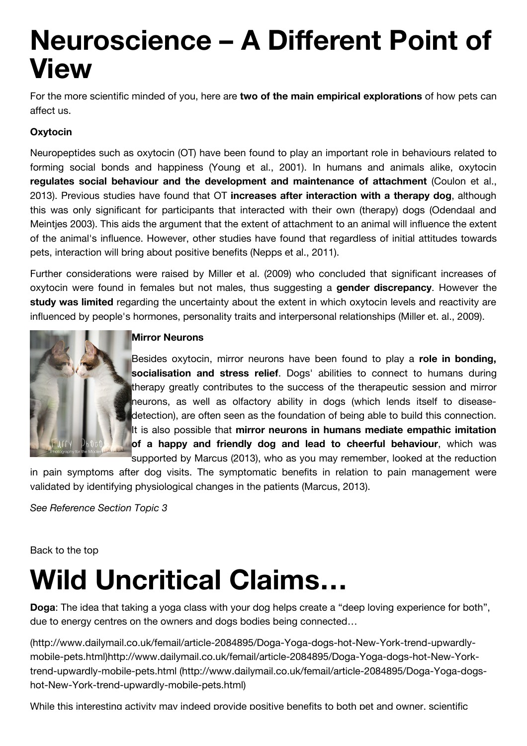## **Neuroscience – A Different Point of View**

For the more scientific minded of you, here are **two of the main empirical explorations** of how pets can affect us.

### **Oxytocin**

Neuropeptides such as oxytocin (OT) have been found to play an important role in behaviours related to forming social bonds and happiness (Young et al., 2001). In humans and animals alike, oxytocin **regulates social behaviour and the development and maintenance of attachment** (Coulon et al., 2013). Previous studies have found that OT **increases after interaction with a therapy dog**, although this was only significant for participants that interacted with their own (therapy) dogs (Odendaal and Meintjes 2003). This aids the argument that the extent of attachment to an animal will influence the extent of the animal's influence. However, other studies have found that regardless of initial attitudes towards pets, interaction will bring about positive benefits (Nepps et al., 2011).

Further considerations were raised by Miller et al. (2009) who concluded that significant increases of oxytocin were found in females but not males, thus suggesting a **gender discrepancy**. However the **study was limited** regarding the uncertainty about the extent in which oxytocin levels and reactivity are influenced by people's hormones, personality traits and interpersonal relationships (Miller et. al., 2009).



### **Mirror Neurons**

Besides oxytocin, mirror neurons have been found to play a **role in bonding, socialisation and stress relief**. Dogs' abilities to connect to humans during therapy greatly contributes to the success of the therapeutic session and mirror neurons, as well as olfactory ability in dogs (which lends itself to diseasedetection), are often seen as the foundation of being able to build this connection. It is also possible that **mirror neurons in humans mediate empathic imitation of a happy and friendly dog and lead to cheerful behaviour**, which was

supported by Marcus (2013), who as you may remember, looked at the reduction in pain symptoms after dog visits. The symptomatic benefits in relation to pain management were validated by identifying physiological changes in the patients (Marcus, 2013).

*See Reference Section Topic 3*

[Back to the top](http://moodle2.gla.ac.uk/mod/wiki/view.php?pageid=1902&group=6568#toc-1)

# **Wild Uncritical Claims…**

**Doga**: The idea that taking a yoga class with your dog helps create a "deep loving experience for both", due to energy centres on the owners and dogs bodies being connected…

(http://www.dailymail.co.uk/femail/article-2084895/Doga-Yoga-dogs-hot-New-York-trend-upwardly[mobile-pets.html\)http://www.dailymail.co.uk/femail/article-2084895/Doga-Yoga-dogs-hot-New-York](http://www.dailymail.co.uk/femail/article-2084895/Doga-Yoga-dogs-hot-New-York-trend-upwardly-mobile-pets.html)[trend-upwardly-mobile-pets.html \(http://www.dailymail.co.uk/femail/article-2084895/Doga-Yoga-dogs](http://www.dailymail.co.uk/femail/article-2084895/Doga-Yoga-dogs-hot-New-York-trend-upwardly-mobile-pets.html)hot-New-York-trend-upwardly-mobile-pets.html)

While this interesting activity may indeed provide positive benefits to both pet and owner, scientific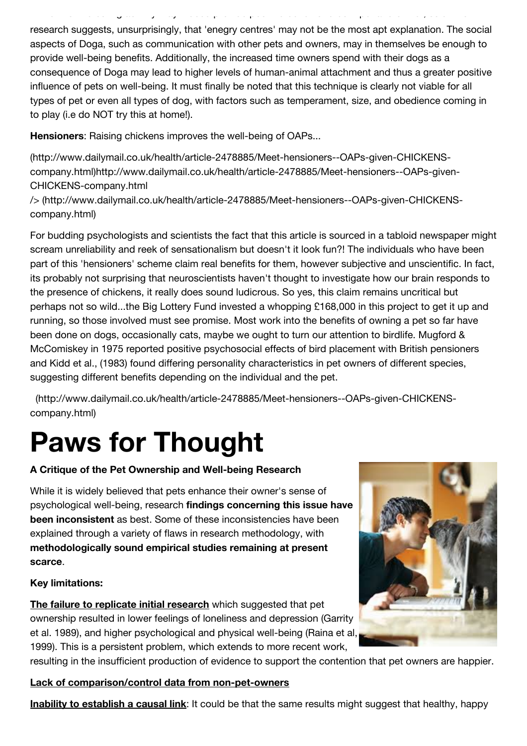research suggests, unsurprisingly, that 'enegry centres' may not be the most apt explanation. The social aspects of Doga, such as communication with other pets and owners, may in themselves be enough to provide well-being benefits. Additionally, the increased time owners spend with their dogs as a consequence of Doga may lead to higher levels of human-animal attachment and thus a greater positive influence of pets on well-being. It must finally be noted that this technique is clearly not viable for all types of pet or even all types of dog, with factors such as temperament, size, and obedience coming in to play (i.e do NOT try this at home!).

While this interesting activity may indeed provide positive benefits to both pet and owner, scientific

**Hensioners**: Raising chickens improves the well-being of OAPs...

(http://www.dailymail.co.uk/health/article-2478885/Meet-hensioners--OAPs-given-CHICKENS[company.html\)http://www.dailymail.co.uk/health/article-2478885/Meet-hensioners--OAPs-given](http://www.dailymail.co.uk/health/article-2478885/Meet-hensioners--OAPs-given-CHICKENS-company.html)-CHICKENS-company.html

[/> \(http://www.dailymail.co.uk/health/article-2478885/Meet-hensioners--OAPs-given-CHICKENS](http://www.dailymail.co.uk/health/article-2478885/Meet-hensioners--OAPs-given-CHICKENS-company.html)company.html)

For budding psychologists and scientists the fact that this article is sourced in a tabloid newspaper might scream unreliability and reek of sensationalism but doesn't it look fun?! The individuals who have been part of this 'hensioners' scheme claim real benefits for them, however subjective and unscientific. In fact, its probably not surprising that neuroscientists haven't thought to investigate how our brain responds to the presence of chickens, it really does sound ludicrous. So yes, this claim remains uncritical but perhaps not so wild...the Big Lottery Fund invested a whopping £168,000 in this project to get it up and running, so those involved must see promise. Most work into the benefits of owning a pet so far have been done on dogs, occasionally cats, maybe we ought to turn our attention to birdlife. Mugford & McComiskey in 1975 reported positive psychosocial effects of bird placement with British pensioners and Kidd et al., (1983) found differing personality characteristics in pet owners of different species, suggesting different benefits depending on the individual and the pet.

 [\(http://www.dailymail.co.uk/health/article-2478885/Meet-hensioners--OAPs-given-CHICKENS](http://www.dailymail.co.uk/health/article-2478885/Meet-hensioners--OAPs-given-CHICKENS-company.html)company.html)

# **Paws for Thought**

### **A Critique of the Pet Ownership and Well-being Research**

While it is widely believed that pets enhance their owner's sense of psychological well-being, research **findings concerning this issue have been inconsistent** as best. Some of these inconsistencies have been explained through a variety of flaws in research methodology, with **methodologically sound empirical studies remaining at present scarce**.

#### **Key limitations:**

**The failure to replicate initial research** which suggested that pet ownership resulted in lower feelings of loneliness and depression (Garrity et al. 1989), and higher psychological and physical well-being (Raina et al, 1999). This is a persistent problem, which extends to more recent work,

resulting in the insufficient production of evidence to support the contention that pet owners are happier.

**Lack of comparison/control data from non-pet-owners**

**Inability to establish a causal link**: It could be that the same results might suggest that healthy, happy

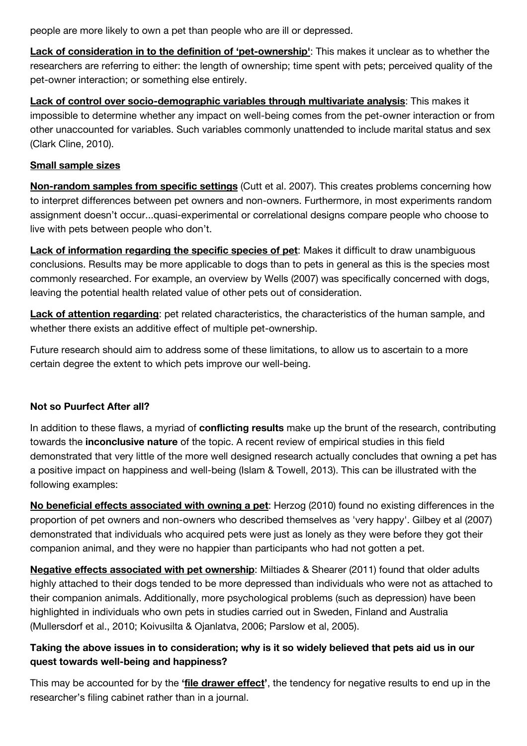people are more likely to own a pet than people who are ill or depressed.

**Lack of consideration in to the definition of 'pet-ownership'**: This makes it unclear as to whether the researchers are referring to either: the length of ownership; time spent with pets; perceived quality of the pet-owner interaction; or something else entirely.

**Lack of control over socio-demographic variables through multivariate analysis**: This makes it impossible to determine whether any impact on well-being comes from the pet-owner interaction or from other unaccounted for variables. Such variables commonly unattended to include marital status and sex (Clark Cline, 2010).

#### **Small sample sizes**

**Non-random samples from specific settings** (Cutt et al. 2007). This creates problems concerning how to interpret differences between pet owners and non-owners. Furthermore, in most experiments random assignment doesn't occur...quasi-experimental or correlational designs compare people who choose to live with pets between people who don't.

**Lack of information regarding the specific species of pet**: Makes it difficult to draw unambiguous conclusions. Results may be more applicable to dogs than to pets in general as this is the species most commonly researched. For example, an overview by Wells (2007) was specifically concerned with dogs, leaving the potential health related value of other pets out of consideration.

**Lack of attention regarding**: pet related characteristics, the characteristics of the human sample, and whether there exists an additive effect of multiple pet-ownership.

Future research should aim to address some of these limitations, to allow us to ascertain to a more certain degree the extent to which pets improve our well-being.

#### **Not so Puurfect After all?**

In addition to these flaws, a myriad of **conflicting results** make up the brunt of the research, contributing towards the **inconclusive nature** of the topic. A recent review of empirical studies in this field demonstrated that very little of the more well designed research actually concludes that owning a pet has a positive impact on happiness and well-being (Islam & Towell, 2013). This can be illustrated with the following examples:

**No beneficial effects associated with owning a pet**: Herzog (2010) found no existing differences in the proportion of pet owners and non-owners who described themselves as 'very happy'. Gilbey et al (2007) demonstrated that individuals who acquired pets were just as lonely as they were before they got their companion animal, and they were no happier than participants who had not gotten a pet.

**Negative effects associated with pet ownership**: Miltiades & Shearer (2011) found that older adults highly attached to their dogs tended to be more depressed than individuals who were not as attached to their companion animals. Additionally, more psychological problems (such as depression) have been highlighted in individuals who own pets in studies carried out in Sweden, Finland and Australia (Mullersdorf et al., 2010; Koivusilta & Ojanlatva, 2006; Parslow et al, 2005).

### **Taking the above issues in to consideration; why is it so widely believed that pets aid us in our quest towards well-being and happiness?**

This may be accounted for by the **'file drawer effect'**, the tendency for negative results to end up in the researcher's filing cabinet rather than in a journal.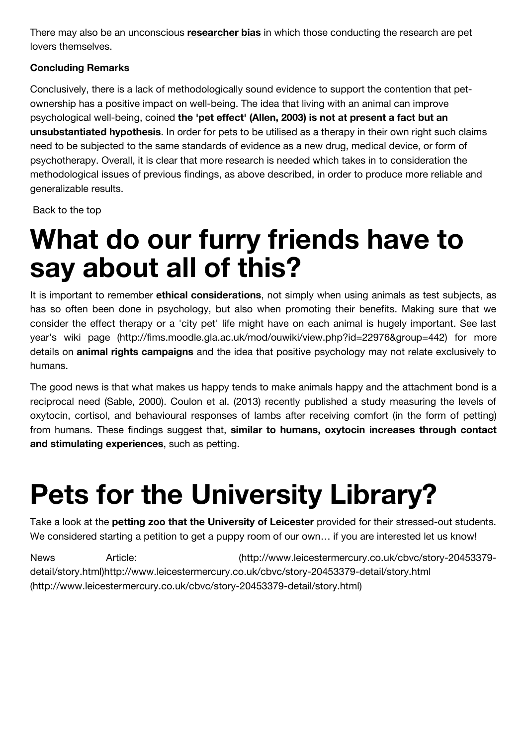There may also be an unconscious **researcher bias** in which those conducting the research are pet lovers themselves.

### **Concluding Remarks**

Conclusively, there is a lack of methodologically sound evidence to support the contention that petownership has a positive impact on well-being. The idea that living with an animal can improve psychological well-being, coined **the 'pet effect' (Allen, 2003) is not at present a fact but an unsubstantiated hypothesis**. In order for pets to be utilised as a therapy in their own right such claims need to be subjected to the same standards of evidence as a new drug, medical device, or form of psychotherapy. Overall, it is clear that more research is needed which takes in to consideration the methodological issues of previous findings, as above described, in order to produce more reliable and generalizable results.

 [Back to the top](http://moodle2.gla.ac.uk/mod/wiki/view.php?pageid=1902&group=6568#toc-1)

## **What do our furry friends have to say about all of this?**

It is important to remember **ethical considerations**, not simply when using animals as test subjects, as has so often been done in psychology, but also when promoting their benefits. Making sure that we [consider the effect therapy or a 'city pet' life might have on each animal is hugely important. See last](http://fims.moodle.gla.ac.uk/mod/ouwiki/view.php?id=22976&group=442) year's wiki page (http://fims.moodle.gla.ac.uk/mod/ouwiki/view.php?id=22976&group=442) for more details on **animal rights campaigns** and the idea that positive psychology may not relate exclusively to humans.

The good news is that what makes us happy tends to make animals happy and the attachment bond is a reciprocal need (Sable, 2000). Coulon et al. (2013) recently published a study measuring the levels of oxytocin, cortisol, and behavioural responses of lambs after receiving comfort (in the form of petting) from humans. These findings suggest that, **similar to humans, oxytocin increases through contact and stimulating experiences**, such as petting.

# **Pets for the University Library?**

Take a look at the **petting zoo that the University of Leicester** provided for their stressed-out students. We considered starting a petition to get a puppy room of our own... if you are interested let us know!

[News Article: \(http://www.leicestermercury.co.uk/cbvc/story-20453379](http://www.leicestermercury.co.uk/cbvc/story-20453379-detail/story.html) [detail/story.html\)http://www.leicestermercury.co.uk/cbvc/story-20453379-detail/story.html](http://www.leicestermercury.co.uk/cbvc/story-20453379-detail/story.html) (http://www.leicestermercury.co.uk/cbvc/story-20453379-detail/story.html)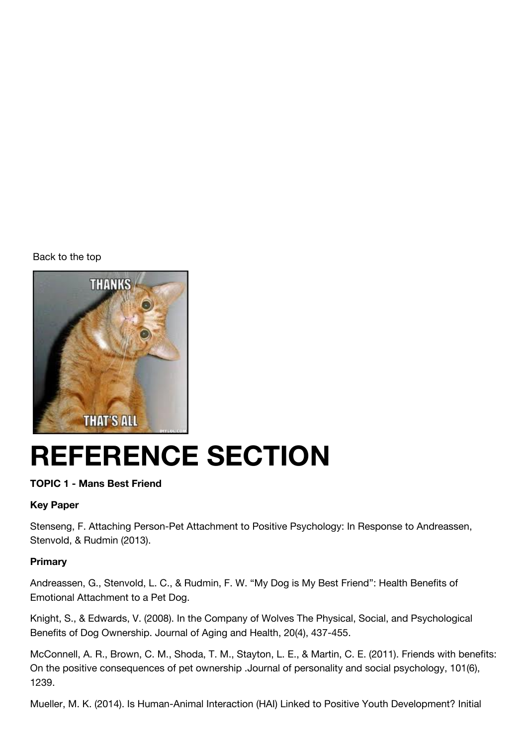[Back to the top](http://moodle2.gla.ac.uk/mod/wiki/view.php?pageid=1902&group=6568#toc-1)



# **REFERENCE SECTION**

### **TOPIC 1 - Mans Best Friend**

### **Key Paper**

Stenseng, F. Attaching Person-Pet Attachment to Positive Psychology: In Response to Andreassen, Stenvold, & Rudmin (2013).

#### **Primary**

Andreassen, G., Stenvold, L. C., & Rudmin, F. W. "My Dog is My Best Friend": Health Benefits of Emotional Attachment to a Pet Dog.

Knight, S., & Edwards, V. (2008). In the Company of Wolves The Physical, Social, and Psychological Benefits of Dog Ownership. Journal of Aging and Health, 20(4), 437-455.

McConnell, A. R., Brown, C. M., Shoda, T. M., Stayton, L. E., & Martin, C. E. (2011). Friends with benefits: On the positive consequences of pet ownership .Journal of personality and social psychology, 101(6), 1239.

Mueller, M. K. (2014). Is Human-Animal Interaction (HAI) Linked to Positive Youth Development? Initial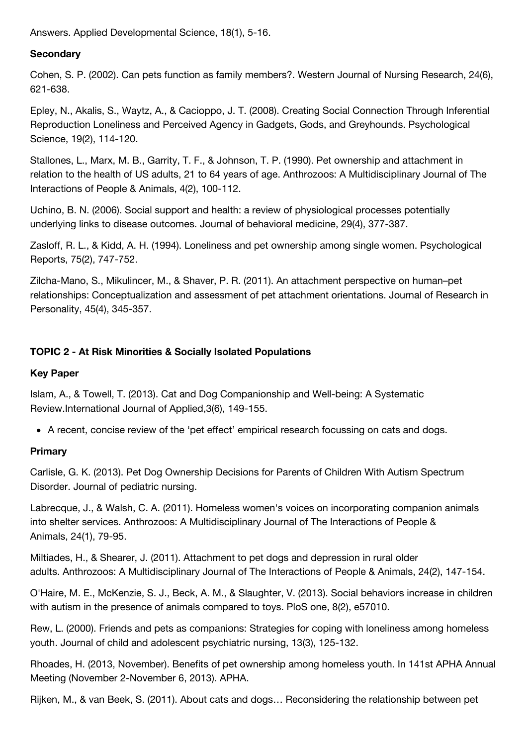Answers. Applied Developmental Science, 18(1), 5-16.

### **Secondary**

Cohen, S. P. (2002). Can pets function as family members?. Western Journal of Nursing Research, 24(6), 621-638.

Epley, N., Akalis, S., Waytz, A., & Cacioppo, J. T. (2008). Creating Social Connection Through Inferential Reproduction Loneliness and Perceived Agency in Gadgets, Gods, and Greyhounds. Psychological Science, 19(2), 114-120.

Stallones, L., Marx, M. B., Garrity, T. F., & Johnson, T. P. (1990). Pet ownership and attachment in relation to the health of US adults, 21 to 64 years of age. Anthrozoos: A Multidisciplinary Journal of The Interactions of People & Animals, 4(2), 100-112.

Uchino, B. N. (2006). Social support and health: a review of physiological processes potentially underlying links to disease outcomes. Journal of behavioral medicine, 29(4), 377-387.

Zasloff, R. L., & Kidd, A. H. (1994). Loneliness and pet ownership among single women. Psychological Reports, 75(2), 747-752.

Zilcha-Mano, S., Mikulincer, M., & Shaver, P. R. (2011). An attachment perspective on human–pet relationships: Conceptualization and assessment of pet attachment orientations. Journal of Research in Personality, 45(4), 345-357.

### **TOPIC 2 - At Risk Minorities & Socially Isolated Populations**

### **Key Paper**

Islam, A., & Towell, T. (2013). Cat and Dog Companionship and Well-being: A Systematic Review.International Journal of Applied,3(6), 149-155.

• A recent, concise review of the 'pet effect' empirical research focussing on cats and dogs.

### **Primary**

Carlisle, G. K. (2013). Pet Dog Ownership Decisions for Parents of Children With Autism Spectrum Disorder. Journal of pediatric nursing.

Labrecque, J., & Walsh, C. A. (2011). Homeless women's voices on incorporating companion animals into shelter services. Anthrozoos: A Multidisciplinary Journal of The Interactions of People & Animals, 24(1), 79-95.

Miltiades, H., & Shearer, J. (2011). Attachment to pet dogs and depression in rural older adults. Anthrozoos: A Multidisciplinary Journal of The Interactions of People & Animals, 24(2), 147-154.

O'Haire, M. E., McKenzie, S. J., Beck, A. M., & Slaughter, V. (2013). Social behaviors increase in children with autism in the presence of animals compared to toys. PloS one, 8(2), e57010.

Rew, L. (2000). Friends and pets as companions: Strategies for coping with loneliness among homeless youth. Journal of child and adolescent psychiatric nursing, 13(3), 125-132.

Rhoades, H. (2013, November). Benefits of pet ownership among homeless youth. In 141st APHA Annual Meeting (November 2-November 6, 2013). APHA.

Rijken, M., & van Beek, S. (2011). About cats and dogs… Reconsidering the relationship between pet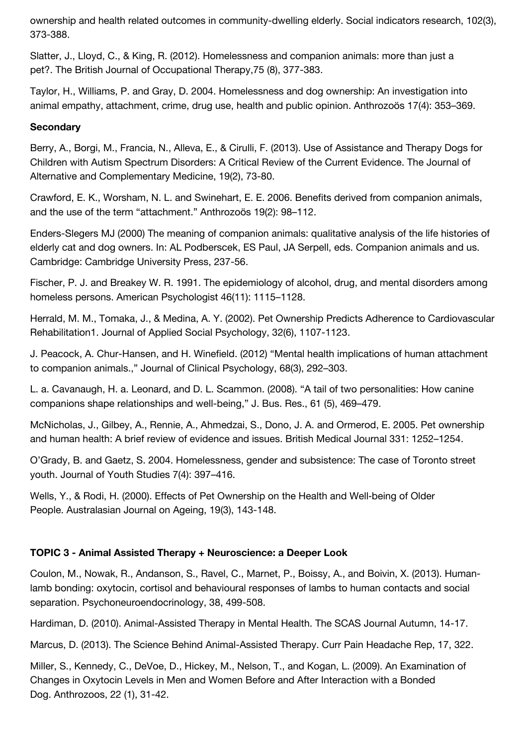ownership and health related outcomes in community-dwelling elderly. Social indicators research, 102(3), 373-388.

Slatter, J., Lloyd, C., & King, R. (2012). Homelessness and companion animals: more than just a pet?. The British Journal of Occupational Therapy,75 (8), 377-383.

Taylor, H., Williams, P. and Gray, D. 2004. Homelessness and dog ownership: An investigation into animal empathy, attachment, crime, drug use, health and public opinion. Anthrozoös 17(4): 353–369.

#### **Secondary**

Berry, A., Borgi, M., Francia, N., Alleva, E., & Cirulli, F. (2013). Use of Assistance and Therapy Dogs for Children with Autism Spectrum Disorders: A Critical Review of the Current Evidence. The Journal of Alternative and Complementary Medicine, 19(2), 73-80.

Crawford, E. K., Worsham, N. L. and Swinehart, E. E. 2006. Benefits derived from companion animals, and the use of the term "attachment." Anthrozoös 19(2): 98–112.

Enders-Slegers MJ (2000) The meaning of companion animals: qualitative analysis of the life histories of elderly cat and dog owners. In: AL Podberscek, ES Paul, JA Serpell, eds. Companion animals and us. Cambridge: Cambridge University Press, 237-56.

Fischer, P. J. and Breakey W. R. 1991. The epidemiology of alcohol, drug, and mental disorders among homeless persons. American Psychologist 46(11): 1115–1128.

Herrald, M. M., Tomaka, J., & Medina, A. Y. (2002). Pet Ownership Predicts Adherence to Cardiovascular Rehabilitation1. Journal of Applied Social Psychology, 32(6), 1107-1123.

J. Peacock, A. Chur-Hansen, and H. Winefield. (2012) "Mental health implications of human attachment to companion animals.," Journal of Clinical Psychology, 68(3), 292–303.

L. a. Cavanaugh, H. a. Leonard, and D. L. Scammon. (2008). "A tail of two personalities: How canine companions shape relationships and well-being," J. Bus. Res., 61 (5), 469–479.

McNicholas, J., Gilbey, A., Rennie, A., Ahmedzai, S., Dono, J. A. and Ormerod, E. 2005. Pet ownership and human health: A brief review of evidence and issues. British Medical Journal 331: 1252–1254.

O'Grady, B. and Gaetz, S. 2004. Homelessness, gender and subsistence: The case of Toronto street youth. Journal of Youth Studies 7(4): 397–416.

Wells, Y., & Rodi, H. (2000). Effects of Pet Ownership on the Health and Well-being of Older People. Australasian Journal on Ageing, 19(3), 143-148.

### **TOPIC 3 - Animal Assisted Therapy + Neuroscience: a Deeper Look**

Coulon, M., Nowak, R., Andanson, S., Ravel, C., Marnet, P., Boissy, A., and Boivin, X. (2013). Humanlamb bonding: oxytocin, cortisol and behavioural responses of lambs to human contacts and social separation. Psychoneuroendocrinology, 38, 499-508.

Hardiman, D. (2010). Animal-Assisted Therapy in Mental Health. The SCAS Journal Autumn, 14-17.

Marcus, D. (2013). The Science Behind Animal-Assisted Therapy. Curr Pain Headache Rep, 17, 322.

Miller, S., Kennedy, C., DeVoe, D., Hickey, M., Nelson, T., and Kogan, L. (2009). An Examination of Changes in Oxytocin Levels in Men and Women Before and After Interaction with a Bonded Dog. Anthrozoos, 22 (1), 31-42.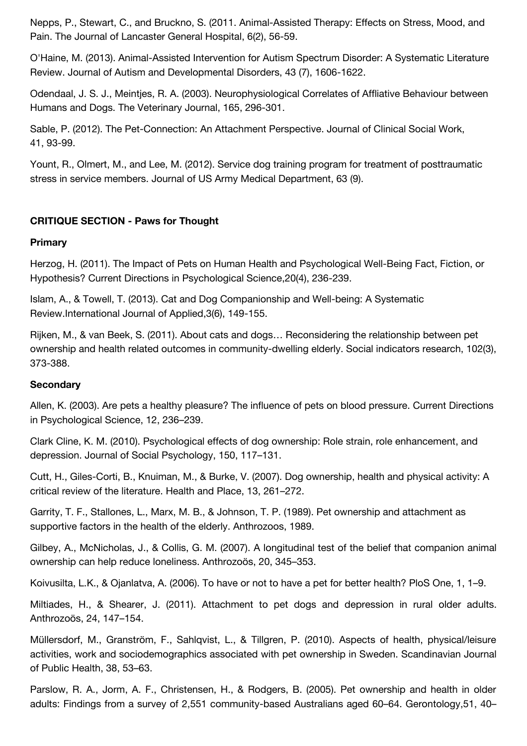Nepps, P., Stewart, C., and Bruckno, S. (2011. Animal-Assisted Therapy: Effects on Stress, Mood, and Pain. The Journal of Lancaster General Hospital, 6(2), 56-59.

O'Haine, M. (2013). Animal-Assisted Intervention for Autism Spectrum Disorder: A Systematic Literature Review. Journal of Autism and Developmental Disorders, 43 (7), 1606-1622.

Odendaal, J. S. J., Meintjes, R. A. (2003). Neurophysiological Correlates of Affliative Behaviour between Humans and Dogs. The Veterinary Journal, 165, 296-301.

Sable, P. (2012). The Pet-Connection: An Attachment Perspective. Journal of Clinical Social Work, 41, 93-99.

Yount, R., Olmert, M., and Lee, M. (2012). Service dog training program for treatment of posttraumatic stress in service members. Journal of US Army Medical Department, 63 (9).

### **CRITIQUE SECTION - Paws for Thought**

### **Primary**

Herzog, H. (2011). The Impact of Pets on Human Health and Psychological Well-Being Fact, Fiction, or Hypothesis? Current Directions in Psychological Science,20(4), 236-239.

Islam, A., & Towell, T. (2013). Cat and Dog Companionship and Well-being: A Systematic Review.International Journal of Applied,3(6), 149-155.

Rijken, M., & van Beek, S. (2011). About cats and dogs… Reconsidering the relationship between pet ownership and health related outcomes in community-dwelling elderly. Social indicators research, 102(3), 373-388.

#### **Secondary**

Allen, K. (2003). Are pets a healthy pleasure? The influence of pets on blood pressure. Current Directions in Psychological Science, 12, 236–239.

Clark Cline, K. M. (2010). Psychological effects of dog ownership: Role strain, role enhancement, and depression. Journal of Social Psychology, 150, 117–131.

Cutt, H., Giles-Corti, B., Knuiman, M., & Burke, V. (2007). Dog ownership, health and physical activity: A critical review of the literature. Health and Place, 13, 261–272.

Garrity, T. F., Stallones, L., Marx, M. B., & Johnson, T. P. (1989). Pet ownership and attachment as supportive factors in the health of the elderly. Anthrozoos, 1989.

Gilbey, A., McNicholas, J., & Collis, G. M. (2007). A longitudinal test of the belief that companion animal ownership can help reduce loneliness. Anthrozoös, 20, 345–353.

Koivusilta, L.K., & Ojanlatva, A. (2006). To have or not to have a pet for better health? PloS One, 1, 1–9.

Miltiades, H., & Shearer, J. (2011). Attachment to pet dogs and depression in rural older adults. Anthrozoös, 24, 147–154.

Müllersdorf, M., Granström, F., Sahlqvist, L., & Tillgren, P. (2010). Aspects of health, physical/leisure activities, work and sociodemographics associated with pet ownership in Sweden. Scandinavian Journal of Public Health, 38, 53–63.

Parslow, R. A., Jorm, A. F., Christensen, H., & Rodgers, B. (2005). Pet ownership and health in older adults: Findings from a survey of 2,551 community-based Australians aged 60–64. Gerontology,51, 40–